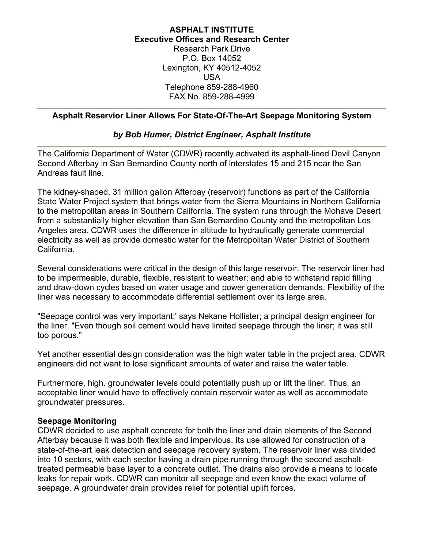## **ASPHALT INSTITUTE Executive Offices and Research Center** Research Park Drive P.O. Box 14052 Lexington, KY 40512-4052 USA Telephone 859-288-4960 FAX No. 859-288-4999

### **Asphalt Reservior Liner Allows For State-Of-The-Art Seepage Monitoring System**

## *by Bob Humer, District Engineer, Asphalt Institute*

The California Department of Water (CDWR) recently activated its asphalt-lined Devil Canyon Second Afterbay in San Bernardino County north of lnterstates 15 and 215 near the San Andreas fault line.

The kidney-shaped, 31 million gallon Afterbay (reservoir) functions as part of the California State Water Project system that brings water from the Sierra Mountains in Northern California to the metropolitan areas in Southern California. The system runs through the Mohave Desert from a substantially higher elevation than San Bernardino County and the metropolitan Los Angeles area. CDWR uses the difference in altitude to hydraulically generate commercial electricity as well as provide domestic water for the Metropolitan Water District of Southern California.

Several considerations were critical in the design of this large reservoir. The reservoir liner had to be impermeable, durable, flexible, resistant to weather; and able to withstand rapid filling and draw-down cycles based on water usage and power generation demands. Flexibility of the liner was necessary to accommodate differential settlement over its large area.

"Seepage control was very important;' says Nekane Hollister; a principal design engineer for the liner. "Even though soil cement would have limited seepage through the liner; it was still too porous."

Yet another essential design consideration was the high water table in the project area. CDWR engineers did not want to lose significant amounts of water and raise the water table.

Furthermore, high. groundwater levels could potentially push up or lift the liner. Thus, an acceptable liner would have to effectively contain reservoir water as well as accommodate groundwater pressures.

#### **Seepage Monitoring**

CDWR decided to use asphalt concrete for both the liner and drain elements of the Second Afterbay because it was both flexible and impervious. Its use allowed for construction of a state-of-the-art leak detection and seepage recovery system. The reservoir liner was divided into 10 sectors, with each sector having a drain pipe running through the second asphalttreated permeable base layer to a concrete outlet. The drains also provide a means to locate leaks for repair work. CDWR can monitor all seepage and even know the exact volume of seepage. A groundwater drain provides relief for potential uplift forces.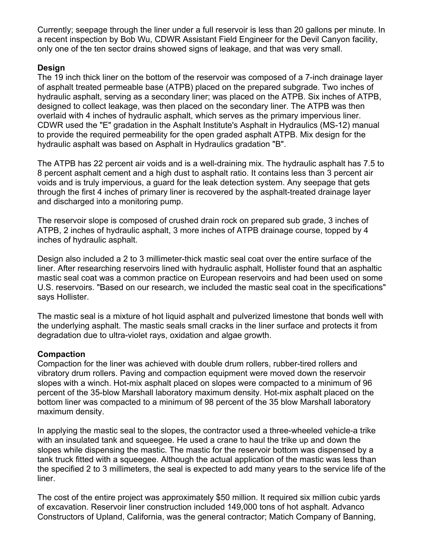Currently; seepage through the liner under a full reservoir is less than 20 gallons per minute. In a recent inspection by Bob Wu, CDWR Assistant Field Engineer for the Devil Canyon facility, only one of the ten sector drains showed signs of leakage, and that was very small.

# **Design**

The 19 inch thick liner on the bottom of the reservoir was composed of a 7-inch drainage layer of asphalt treated permeable base (ATPB) placed on the prepared subgrade. Two inches of hydraulic asphalt, serving as a secondary liner; was placed on the ATPB. Six inches of ATPB, designed to collect leakage, was then placed on the secondary liner. The ATPB was then overlaid with 4 inches of hydraulic asphalt, which serves as the primary impervious liner. CDWR used the "E" gradation in the Asphalt Institute's Asphalt in Hydraulics (MS-12) manual to provide the required permeability for the open graded asphalt ATPB. Mix design for the hydraulic asphalt was based on Asphalt in Hydraulics gradation "B".

The ATPB has 22 percent air voids and is a well-draining mix. The hydraulic asphalt has 7.5 to 8 percent asphalt cement and a high dust to asphalt ratio. It contains less than 3 percent air voids and is truly impervious, a guard for the leak detection system. Any seepage that gets through the first 4 inches of primary liner is recovered by the asphalt-treated drainage layer and discharged into a monitoring pump.

The reservoir slope is composed of crushed drain rock on prepared sub grade, 3 inches of ATPB, 2 inches of hydraulic asphalt, 3 more inches of ATPB drainage course, topped by 4 inches of hydraulic asphalt.

Design also included a 2 to 3 millimeter-thick mastic seal coat over the entire surface of the liner. After researching reservoirs lined with hydraulic asphalt, Hollister found that an asphaltic mastic seal coat was a common practice on European reservoirs and had been used on some U.S. reservoirs. "Based on our research, we included the mastic seal coat in the specifications" says Hollister.

The mastic seal is a mixture of hot liquid asphalt and pulverized limestone that bonds well with the underlying asphalt. The mastic seals small cracks in the liner surface and protects it from degradation due to ultra-violet rays, oxidation and algae growth.

# **Compaction**

Compaction for the liner was achieved with double drum rollers, rubber-tired rollers and vibratory drum rollers. Paving and compaction equipment were moved down the reservoir slopes with a winch. Hot-mix asphalt placed on slopes were compacted to a minimum of 96 percent of the 35-blow Marshall laboratory maximum density. Hot-mix asphalt placed on the bottom liner was compacted to a minimum of 98 percent of the 35 blow Marshall laboratory maximum density.

In applying the mastic seal to the slopes, the contractor used a three-wheeled vehicle-a trike with an insulated tank and squeegee. He used a crane to haul the trike up and down the slopes while dispensing the mastic. The mastic for the reservoir bottom was dispensed by a tank truck fitted with a squeegee. Although the actual application of the mastic was less than the specified 2 to 3 millimeters, the seal is expected to add many years to the service life of the liner.

The cost of the entire project was approximately \$50 million. It required six million cubic yards of excavation. Reservoir liner construction included 149,000 tons of hot asphalt. Advanco Constructors of Upland, California, was the general contractor; Matich Company of Banning,